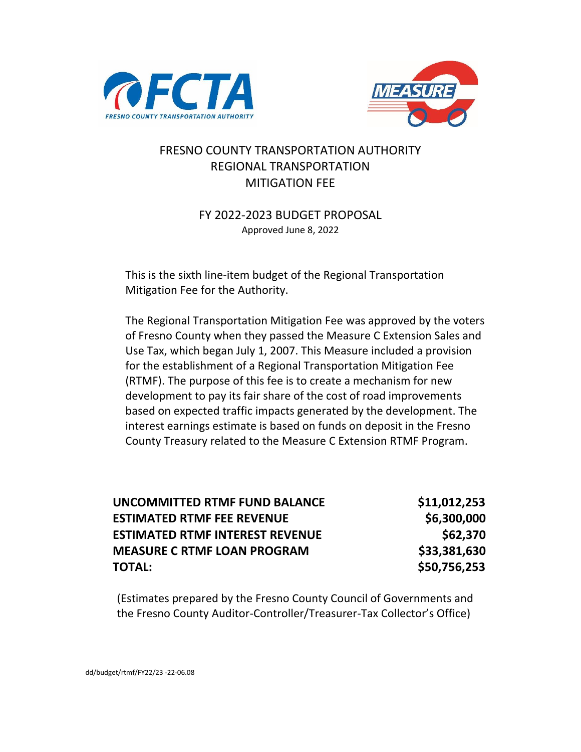



#### FRESNO COUNTY TRANSPORTATION AUTHORITY REGIONAL TRANSPORTATION MITIGATION FEE

#### FY 2022-2023 BUDGET PROPOSAL Approved June 8, 2022

This is the sixth line-item budget of the Regional Transportation Mitigation Fee for the Authority.

The Regional Transportation Mitigation Fee was approved by the voters of Fresno County when they passed the Measure C Extension Sales and Use Tax, which began July 1, 2007. This Measure included a provision for the establishment of a Regional Transportation Mitigation Fee (RTMF). The purpose of this fee is to create a mechanism for new development to pay its fair share of the cost of road improvements based on expected traffic impacts generated by the development. The interest earnings estimate is based on funds on deposit in the Fresno County Treasury related to the Measure C Extension RTMF Program.

| UNCOMMITTED RTMF FUND BALANCE          | \$11,012,253 |
|----------------------------------------|--------------|
| <b>ESTIMATED RTMF FEE REVENUE</b>      | \$6,300,000  |
| <b>ESTIMATED RTMF INTEREST REVENUE</b> | \$62,370     |
| <b>MEASURE C RTMF LOAN PROGRAM</b>     | \$33,381,630 |
| <b>TOTAL:</b>                          | \$50,756,253 |

(Estimates prepared by the Fresno County Council of Governments and the Fresno County Auditor-Controller/Treasurer-Tax Collector's Office)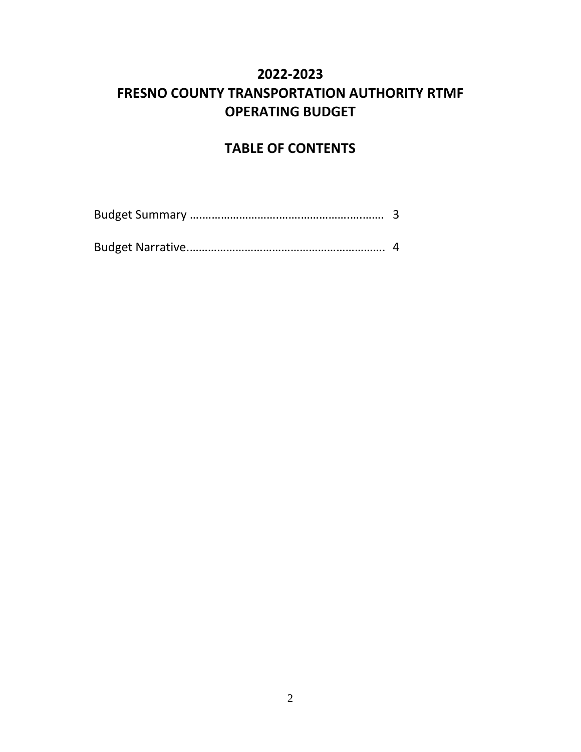# **2022-2023 FRESNO COUNTY TRANSPORTATION AUTHORITY RTMF OPERATING BUDGET**

# **TABLE OF CONTENTS**

|--|--|

|--|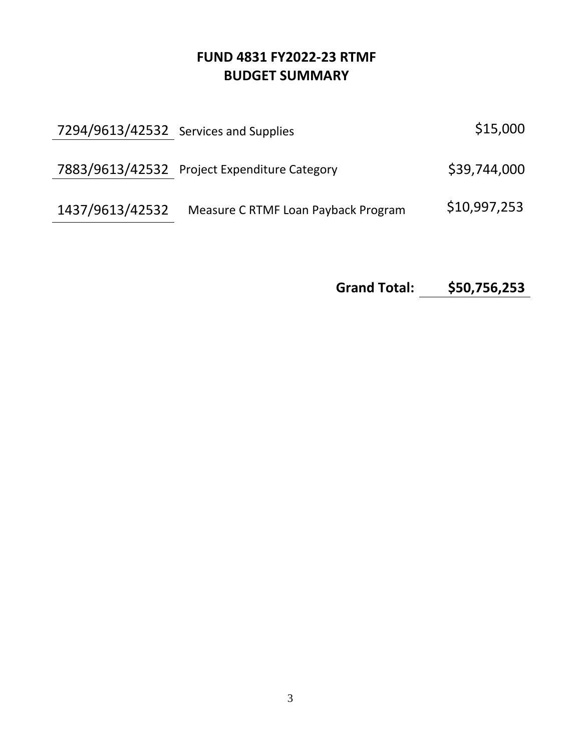# **FUND 4831 FY2022-23 RTMF BUDGET SUMMARY**

|                 | 7294/9613/42532 Services and Supplies        | \$15,000     |
|-----------------|----------------------------------------------|--------------|
|                 | 7883/9613/42532 Project Expenditure Category | \$39,744,000 |
| 1437/9613/42532 | Measure C RTMF Loan Payback Program          | \$10,997,253 |

**Grand Total: \$50,756,253**